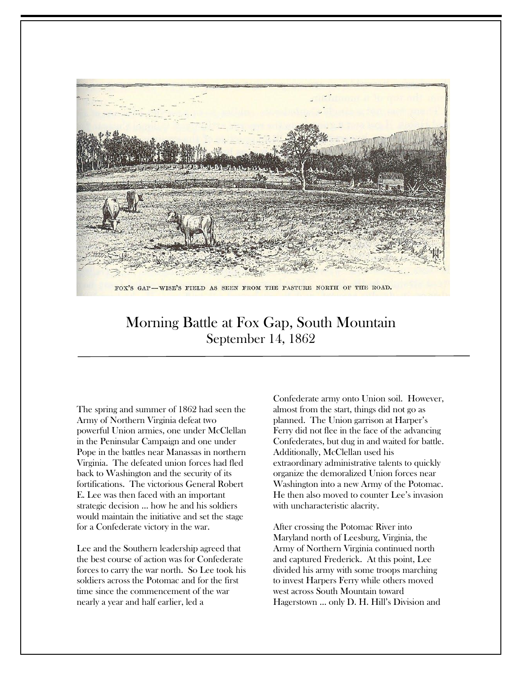

# Morning Battle at Fox Gap, South Mountain September 14, 1862

The spring and summer of 1862 had seen the Army of Northern Virginia defeat two powerful Union armies, one under McClellan in the Peninsular Campaign and one under Pope in the battles near Manassas in northern Virginia. The defeated union forces had fled back to Washington and the security of its fortifications. The victorious General Robert E. Lee was then faced with an important strategic decision … how he and his soldiers would maintain the initiative and set the stage for a Confederate victory in the war.

Lee and the Southern leadership agreed that the best course of action was for Confederate forces to carry the war north. So Lee took his soldiers across the Potomac and for the first time since the commencement of the war nearly a year and half earlier, led a

Confederate army onto Union soil. However, almost from the start, things did not go as planned. The Union garrison at Harper's Ferry did not flee in the face of the advancing Confederates, but dug in and waited for battle. Additionally, McClellan used his extraordinary administrative talents to quickly organize the demoralized Union forces near Washington into a new Army of the Potomac. He then also moved to counter Lee's invasion with uncharacteristic alacrity.

After crossing the Potomac River into Maryland north of Leesburg, Virginia, the Army of Northern Virginia continued north and captured Frederick. At this point, Lee divided his army with some troops marching to invest Harpers Ferry while others moved west across South Mountain toward Hagerstown … only D. H. Hill's Division and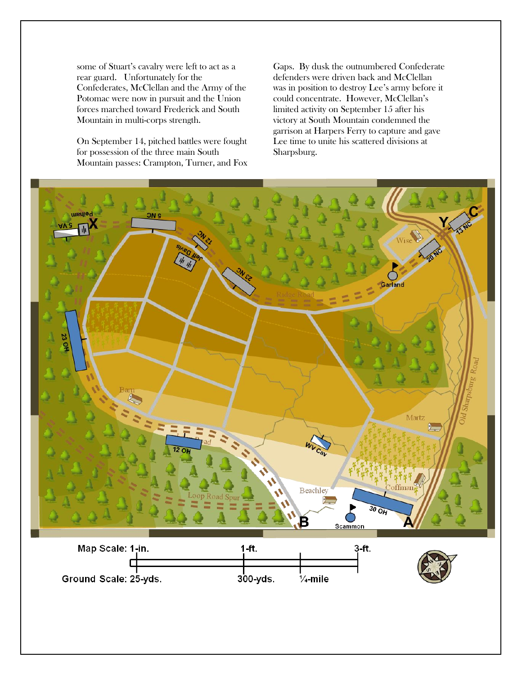some of Stuart's cavalry were left to act as a rear guard. Unfortunately for the Confederates, McClellan and the Army of the Potomac were now in pursuit and the Union forces marched toward Frederick and South Mountain in multi-corps strength.

On September 14, pitched battles were fought for possession of the three main South Mountain passes: Crampton, Turner, and Fox Gaps. By dusk the outnumbered Confederate defenders were driven back and McClellan was in position to destroy Lee's army before it could concentrate. However, McClellan's limited activity on September 15 after his victory at South Mountain condemned the garrison at Harpers Ferry to capture and gave Lee time to unite his scattered divisions at Sharpsburg.

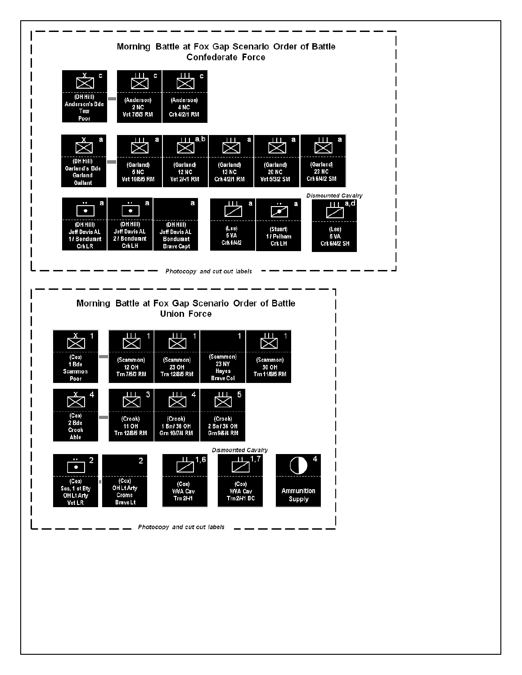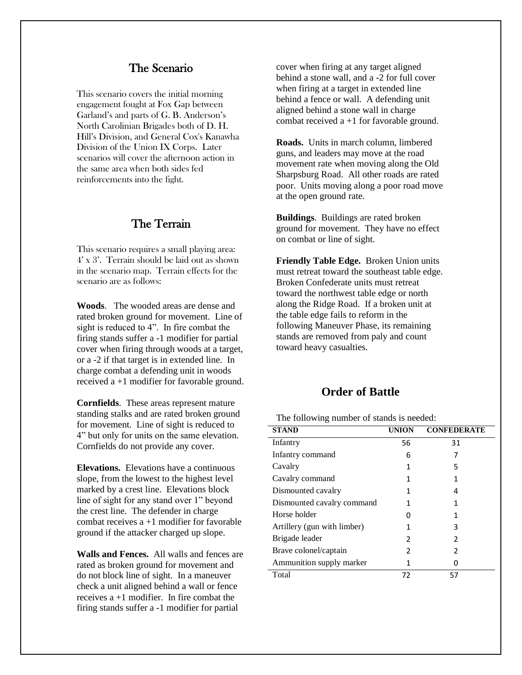## The Scenario

This scenario covers the initial morning engagement fought at Fox Gap between Garland's and parts of G. B. Anderson's North Carolinian Brigades both of D. H. Hill's Division, and General Cox's Kanawha Division of the Union IX Corps. Later scenarios will cover the afternoon action in the same area when both sides fed reinforcements into the fight.

#### The Terrain

This scenario requires a small playing area: 4' x 3'. Terrain should be laid out as shown in the scenario map. Terrain effects for the scenario are as follows:

**Woods**. The wooded areas are dense and rated broken ground for movement. Line of sight is reduced to 4". In fire combat the firing stands suffer a -1 modifier for partial cover when firing through woods at a target, or a -2 if that target is in extended line. In charge combat a defending unit in woods received a +1 modifier for favorable ground.

**Cornfields**. These areas represent mature standing stalks and are rated broken ground for movement. Line of sight is reduced to 4" but only for units on the same elevation. Cornfields do not provide any cover.

**Elevations.** Elevations have a continuous slope, from the lowest to the highest level marked by a crest line. Elevations block line of sight for any stand over 1" beyond the crest line. The defender in charge combat receives  $a + 1$  modifier for favorable ground if the attacker charged up slope.

**Walls and Fences.** All walls and fences are rated as broken ground for movement and do not block line of sight. In a maneuver check a unit aligned behind a wall or fence receives a +1 modifier. In fire combat the firing stands suffer a -1 modifier for partial

cover when firing at any target aligned behind a stone wall, and a -2 for full cover when firing at a target in extended line behind a fence or wall. A defending unit aligned behind a stone wall in charge combat received  $a + 1$  for favorable ground.

**Roads.** Units in march column, limbered guns, and leaders may move at the road movement rate when moving along the Old Sharpsburg Road. All other roads are rated poor. Units moving along a poor road move at the open ground rate.

**Buildings**. Buildings are rated broken ground for movement. They have no effect on combat or line of sight.

**Friendly Table Edge.** Broken Union units must retreat toward the southeast table edge. Broken Confederate units must retreat toward the northwest table edge or north along the Ridge Road. If a broken unit at the table edge fails to reform in the following Maneuver Phase, its remaining stands are removed from paly and count toward heavy casualties.

# **Order of Battle**

The following number of stands is needed:

| <b>STAND</b>                | <b>UNION</b> | <b>CONFEDERATE</b> |
|-----------------------------|--------------|--------------------|
| Infantry                    | 56           | 31                 |
| Infantry command            | 6            | 7                  |
| Cavalry                     | 1            | 5                  |
| Cavalry command             | 1            | 1                  |
| Dismounted cavalry          | 1            | 4                  |
| Dismounted cavalry command  | 1            | 1                  |
| Horse holder                | 0            |                    |
| Artillery (gun with limber) | 1            | 3                  |
| Brigade leader              | 2            | 2                  |
| Brave colonel/captain       | 2            | 2                  |
| Ammunition supply marker    | 1            |                    |
| Total                       | 72           | 57                 |